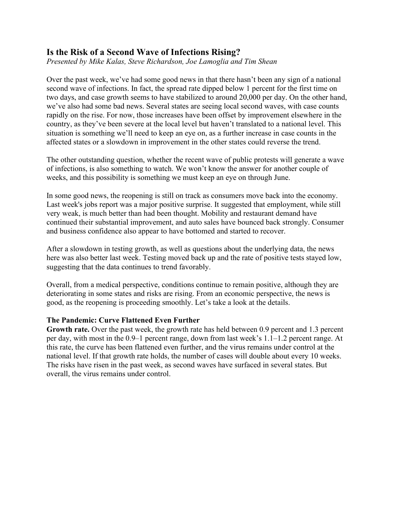# **Is the Risk of a Second Wave of Infections Rising?**

*Presented by Mike Kalas, Steve Richardson, Joe Lamoglia and Tim Shean*

Over the past week, we've had some good news in that there hasn't been any sign of a national second wave of infections. In fact, the spread rate dipped below 1 percent for the first time on two days, and case growth seems to have stabilized to around 20,000 per day. On the other hand, we've also had some bad news. Several states are seeing local second waves, with case counts rapidly on the rise. For now, those increases have been offset by improvement elsewhere in the country, as they've been severe at the local level but haven't translated to a national level. This situation is something we'll need to keep an eye on, as a further increase in case counts in the affected states or a slowdown in improvement in the other states could reverse the trend.

The other outstanding question, whether the recent wave of public protests will generate a wave of infections, is also something to watch. We won't know the answer for another couple of weeks, and this possibility is something we must keep an eye on through June.

In some good news, the reopening is still on track as consumers move back into the economy. Last week's jobs report was a major positive surprise. It suggested that employment, while still very weak, is much better than had been thought. Mobility and restaurant demand have continued their substantial improvement, and auto sales have bounced back strongly. Consumer and business confidence also appear to have bottomed and started to recover.

After a slowdown in testing growth, as well as questions about the underlying data, the news here was also better last week. Testing moved back up and the rate of positive tests stayed low, suggesting that the data continues to trend favorably.

Overall, from a medical perspective, conditions continue to remain positive, although they are deteriorating in some states and risks are rising. From an economic perspective, the news is good, as the reopening is proceeding smoothly. Let's take a look at the details.

## **The Pandemic: Curve Flattened Even Further**

**Growth rate.** Over the past week, the growth rate has held between 0.9 percent and 1.3 percent per day, with most in the 0.9–1 percent range, down from last week's 1.1–1.2 percent range. At this rate, the curve has been flattened even further, and the virus remains under control at the national level. If that growth rate holds, the number of cases will double about every 10 weeks. The risks have risen in the past week, as second waves have surfaced in several states. But overall, the virus remains under control.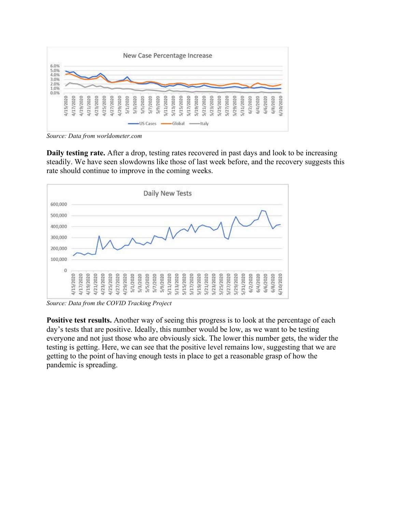

*Source: Data from [worldometer.com](https://www.worldometers.info/coronavirus/)*

**Daily testing rate.** After a drop, testing rates recovered in past days and look to be increasing steadily. We have seen slowdowns like those of last week before, and the recovery suggests this rate should continue to improve in the coming weeks.



*Source: Data from the [COVID Tracking Project](https://covidtracking.com/)*

**Positive test results.** Another way of seeing this progress is to look at the percentage of each day's tests that are positive. Ideally, this number would be low, as we want to be testing everyone and not just those who are obviously sick. The lower this number gets, the wider the testing is getting. Here, we can see that the positive level remains low, suggesting that we are getting to the point of having enough tests in place to get a reasonable grasp of how the pandemic is spreading.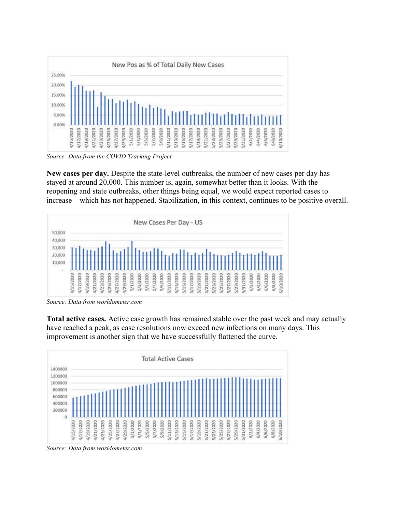

*Source: Data from the [COVID Tracking Project](https://covidtracking.com/)*

**New cases per day.** Despite the state-level outbreaks, the number of new cases per day has stayed at around 20,000. This number is, again, somewhat better than it looks. With the reopening and state outbreaks, other things being equal, we would expect reported cases to increase—which has not happened. Stabilization, in this context, continues to be positive overall.



*Source: Data from [worldometer.com](https://www.worldometers.info/coronavirus/)*

**Total active cases.** Active case growth has remained stable over the past week and may actually have reached a peak, as case resolutions now exceed new infections on many days. This improvement is another sign that we have successfully flattened the curve.



*Source: Data from [worldometer.com](https://www.worldometers.info/coronavirus/)*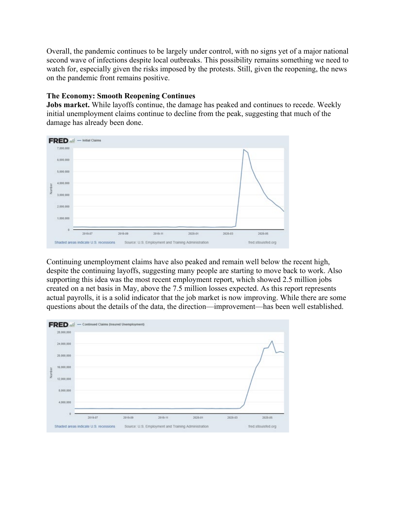Overall, the pandemic continues to be largely under control, with no signs yet of a major national second wave of infections despite local outbreaks. This possibility remains something we need to watch for, especially given the risks imposed by the protests. Still, given the reopening, the news on the pandemic front remains positive.

### **The Economy: Smooth Reopening Continues**

**Jobs market.** While layoffs continue, the damage has peaked and continues to recede. Weekly initial unemployment claims continue to decline from the peak, suggesting that much of the damage has already been done.



Continuing unemployment claims have also peaked and remain well below the recent high, despite the continuing layoffs, suggesting many people are starting to move back to work. Also supporting this idea was the most recent employment report, which showed 2.5 million jobs created on a net basis in May, above the 7.5 million losses expected. As this report represents actual payrolls, it is a solid indicator that the job market is now improving. While there are some questions about the details of the data, the direction—improvement—has been well established.

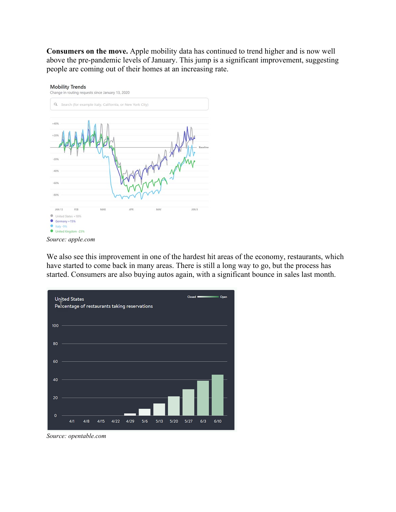**Consumers on the move.** Apple mobility data has continued to trend higher and is now well above the pre-pandemic levels of January. This jump is a significant improvement, suggesting people are coming out of their homes at an increasing rate.



*Source: [apple.com](https://www.apple.com/covid19/mobility)*

We also see this improvement in one of the hardest hit areas of the economy, restaurants, which have started to come back in many areas. There is still a long way to go, but the process has started. Consumers are also buying autos again, with a significant bounce in sales last month.



*Source: [opentable.com](https://www.opentable.com/state-of-industry)*